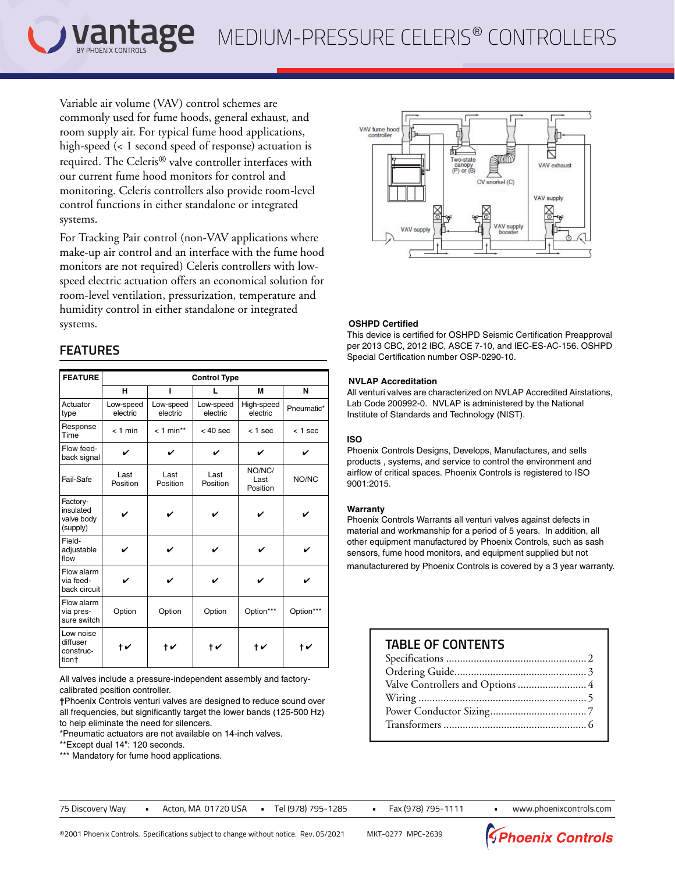Variable air volume (VAV) control schemes are commonly used for fume hoods, general exhaust, and room supply air. For typical fume hood applications, high-speed (< 1 second speed of response) actuation is required. The Celeris® valve controller interfaces with our current fume hood monitors for control and monitoring. Celeris controllers also provide room-level control functions in either standalone or integrated systems.

For Tracking Pair control (non-VAV applications where make-up air control and an interface with the fume hood monitors are not required) Celeris controllers with lowspeed electric actuation offers an economical solution for room-level ventilation, pressurization, temperature and humidity control in either standalone or integrated systems.

# **FEATURES**

| <b>FEATURE</b>                                  | <b>Control Type</b>   |                       |                                                |                        |            |  |  |
|-------------------------------------------------|-----------------------|-----------------------|------------------------------------------------|------------------------|------------|--|--|
|                                                 | н                     | ı                     | I.                                             | M                      | N          |  |  |
| Actuator<br>type                                | Low-speed<br>electric | Low-speed<br>electric | Low-speed<br>electric                          | High-speed<br>electric | Pneumatic* |  |  |
| Response<br>Time                                | $<$ 1 min             | $< 1$ min**           | $< 40$ sec                                     | $<$ 1 sec              | $<$ 1 sec  |  |  |
| Flow feed-<br>back signal                       | ✓                     | ✓                     | ✓<br>✓                                         |                        | ✓          |  |  |
| Fail-Safe                                       | Last<br>Position      | Last<br>Position      | NO/NC/<br>Last<br>Last<br>Position<br>Position |                        | NO/NC      |  |  |
| Factory-<br>insulated<br>valve body<br>(supply) |                       |                       |                                                |                        |            |  |  |
| Field-<br>adjustable<br>flow                    | ✔                     | ✓                     | ✓                                              | V                      | ✓          |  |  |
| Flow alarm<br>via feed-<br>back circuit         | ✓                     | ✓                     | ✓                                              | ✓                      |            |  |  |
| Flow alarm<br>via pres-<br>sure switch          | Option                | Option                | Option<br>Option***                            |                        | Option***  |  |  |
| Low noise<br>diffuser<br>construc-<br>tion†     | $\digamma$            | $\diamond$            | t v                                            | t v                    | $\diamond$ |  |  |

All valves include a pressure-independent assembly and factorycalibrated position controller.

**†**Phoenix Controls venturi valves are designed to reduce sound over all frequencies, but significantly target the lower bands (125-500 Hz) to help eliminate the need for silencers.

\*Pneumatic actuators are not available on 14-inch valves.

\*\*Except dual 14": 120 seconds.

\*\*\* Mandatory for fume hood applications.



### **OSHPD Certified**

This device is certified for OSHPD Seismic Certification Preapproval per 2013 CBC, 2012 IBC, ASCE 7-10, and IEC-ES-AC-156. OSHPD Special Certification number OSP-0290-10.

#### **NVLAP Accreditation**

All venturi valves are characterized on NVLAP Accredited Airstations, Lab Code 200992-0. NVLAP is administered by the National Institute of Standards and Technology (NIST).

### **ISO**

Phoenix Controls Designs, Develops, Manufactures, and sells products , systems, and service to control the environment and airflow of critical spaces. Phoenix Controls is registered to ISO 9001:2015.

#### **Warranty**

Phoenix Controls Warrants all venturi valves against defects in material and workmanship for a period of 5 years. In addition, all other equipment manufactured by Phoenix Controls, such as sash sensors, fume hood monitors, and equipment supplied but not manufacturered by Phoenix Controls is covered by a 3 year warranty.

# **†** ✔ **†** ✔ **†** ✔ **†** ✔ **†** ✔ **TABLE OF CONTENTS**

| Valve Controllers and Options  4 |
|----------------------------------|
|                                  |
|                                  |
|                                  |

75 Discovery Way **•** Acton, MA 01720 USA **•** Tel (978) 795-1285 **•** Fax (978) 795-1111 **•** www.phoenixcontrols.com

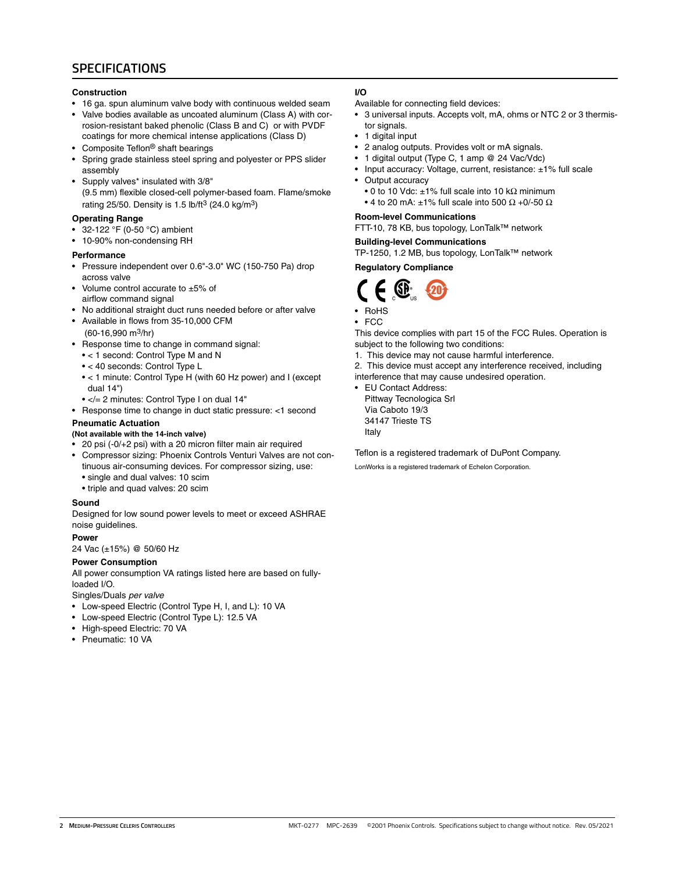## **SPECIFICATIONS**

#### **Construction**

- 16 ga. spun aluminum valve body with continuous welded seam
- Valve bodies available as uncoated aluminum (Class A) with corrosion-resistant baked phenolic (Class B and C) or with PVDF coatings for more chemical intense applications (Class D)
- Composite Teflon<sup>®</sup> shaft bearings
- Spring grade stainless steel spring and polyester or PPS slider assembly
- Supply valves\* insulated with 3/8" (9.5 mm) flexible closed-cell polymer-based foam. Flame/smoke rating 25/50. Density is 1.5 lb/ft<sup>3</sup> (24.0 kg/m<sup>3</sup>)

#### **Operating Range**

- 32-122 °F (0-50 °C) ambient
- 10-90% non-condensing RH

#### **Performance**

- Pressure independent over 0.6"-3.0" WC (150-750 Pa) drop across valve
- Volume control accurate to ±5% of airflow command signal
- No additional straight duct runs needed before or after valve
- Available in flows from 35-10,000 CFM (60-16,990 m3/hr)
- Response time to change in command signal:
- < 1 second: Control Type M and N • < 40 seconds: Control Type L
- < 1 minute: Control Type H (with 60 Hz power) and I (except dual 14")
- </= 2 minutes: Control Type I on dual 14"
- Response time to change in duct static pressure: <1 second

### **Pneumatic Actuation**

**(Not available with the 14-inch valve)**

- 20 psi (-0/+2 psi) with a 20 micron filter main air required
- Compressor sizing: Phoenix Controls Venturi Valves are not continuous air-consuming devices. For compressor sizing, use:
	- single and dual valves: 10 scim
	- triple and quad valves: 20 scim

#### **Sound**

Designed for low sound power levels to meet or exceed ASHRAE noise guidelines.

#### **Power**

24 Vac (±15%) @ 50/60 Hz

#### **Power Consumption**

All power consumption VA ratings listed here are based on fullyloaded I/O.

Singles/Duals *per valve*

- Low-speed Electric (Control Type H, I, and L): 10 VA
- Low-speed Electric (Control Type L): 12.5 VA
- High-speed Electric: 70 VA
- Pneumatic: 10 VA

#### **I/O**

Available for connecting field devices:

- 3 universal inputs. Accepts volt, mA, ohms or NTC 2 or 3 thermistor signals.
- 1 digital input
- 2 analog outputs. Provides volt or mA signals.
- 1 digital output (Type C, 1 amp @ 24 Vac/Vdc)
- Input accuracy: Voltage, current, resistance: ±1% full scale
- Output accuracy
	- 0 to 10 Vdc:  $\pm$ 1% full scale into 10 k $\Omega$  minimum
	- 4 to 20 mA:  $\pm$ 1% full scale into 500  $\Omega$  +0/-50  $\Omega$

#### **Room-level Communications**

FTT-10, 78 KB, bus topology, LonTalk™ network

#### **Building-level Communications**

TP-1250, 1.2 MB, bus topology, LonTalk™ network

### **Regulatory Compliance**



• RoHS

• FCC

This device complies with part 15 of the FCC Rules. Operation is subject to the following two conditions:

- 1. This device may not cause harmful interference.
- 2. This device must accept any interference received, including
- interference that may cause undesired operation.
	- EU Contact Address: Pittway Tecnologica Srl Via Caboto 19/3 34147 Trieste TS Italy

Teflon is a registered trademark of DuPont Company.

LonWorks is a registered trademark of Echelon Corporation.